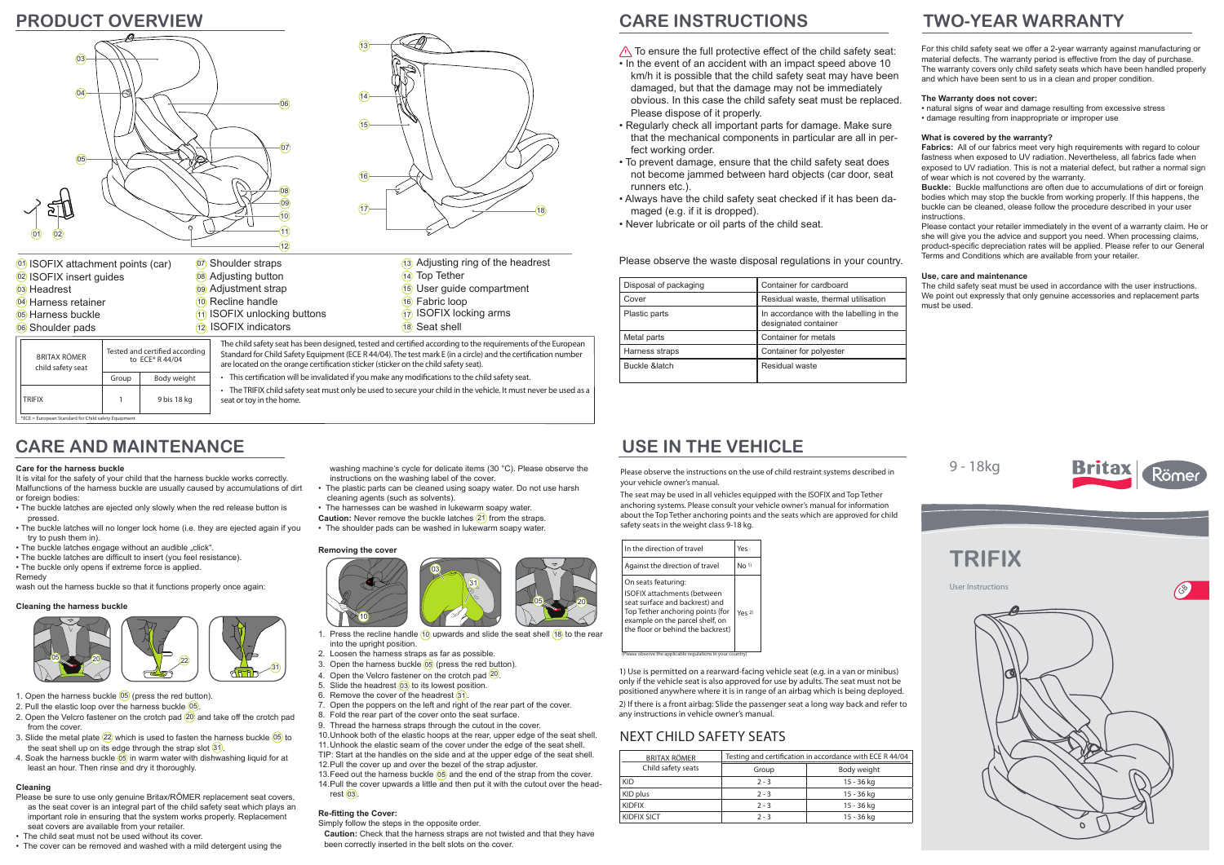# **TWO-YEAR WARRANTY**

# **CARE AND MAINTENANCE**

Please observe the instructions on the use of child restraint systems described in your vehicle owner's manual.

The seat may be used in all vehicles equipped with the ISOFIX and Top Tether anchoring systems. Please consult your vehicle owner's manual for information about the Top Tether anchoring points and the seats which are approved for child safety seats in the weight class 9-18 kg.

| <b>BRITAX RÖMER</b> | Testing and certification in accordance with ECE R 44/04 |             |
|---------------------|----------------------------------------------------------|-------------|
| Child safety seats  | Group                                                    | Body weight |
| <b>KID</b>          | $2 - 3$                                                  | 15 - 36 kg  |
| KID plus            | $2 - 3$                                                  | 15 - 36 kg  |
| <b>KIDFIX</b>       | $2 - 3$                                                  | 15 - 36 kg  |
| <b>KIDFIX SICT</b>  | $2 - 3$                                                  | 15 - 36 kg  |



TRIFIX | 1 9 bis 18 kg • The TRIFIX child safety seat must only be used to secure your child in the vehicle. It must never be used as a seat or toy in the home.

 $*ECE = European Standard for Child safety Equipmen$ 

### NEXT CHILD SAFETY SEATS

## **USE IN THE VEHICLE**

1) Use is permitted on a rearward-facing vehicle seat (e.g. in a van or minibus) only if the vehicle seat is also approved for use by adults. The seat must not be positioned anywhere where it is in range of an airbag which is being deployed. 2) If there is a front airbag: Slide the passenger seat a long way back and refer to any instructions in vehicle owner's manual.

- $\bigwedge$  To ensure the full protective effect of the child safety seat: • In the event of an accident with an impact speed above 10 km/h it is possible that the child safety seat may have been damaged, but that the damage may not be immediately obvious. In this case the child safety seat must be replaced. Please dispose of it properly.
- Regularly check all important parts for damage. Make sure that the mechanical components in particular are all in perfect working order.
- To prevent damage, ensure that the child safety seat does not become jammed between hard objects (car door, seat runners etc.).
- Always have the child safety seat checked if it has been damaged (e.g. if it is dropped).
- Never lubricate or oil parts of the child seat.



- 2. Pull the elastic loop over the harness buckle 05
- 2. Open the Velcro fastener on the crotch pad 20 and take off the crotch pad from the cover.
- 3. Slide the metal plate  $(22)$  which is used to fasten the harness buckle  $(05)$  to the seat shell up on its edge through the strap slot  $(31)$ .
- 4. Soak the harness buckle  $\overline{(65)}$  in warm water with dishwashing liquid for at least an hour. Then rinse and dry it thoroughly.

Please observe the waste disposal regulations in your country.

- Please be sure to use only genuine Britax/RÖMER replacement seat covers, as the seat cover is an integral part of the child safety seat which plays an important role in ensuring that the system works properly. Replacement seat covers are available from your retailer.
- The child seat must not be used without its cover.
- The cover can be removed and washed with a mild detergent using the

For this child safety seat we offer a 2-year warranty against manufacturing or material defects. The warranty period is effective from the day of purchase. The warranty covers only child safety seats which have been handled properly and which have been sent to us in a clean and proper condition.

#### **The Warranty does not cover:**

• natural signs of wear and damage resulting from excessive stress • damage resulting from inappropriate or improper use

#### **What is covered by the warranty?**

- 1. Press the recline handle  $(10)$  upwards and slide the seat shell  $(18)$  to the rear into the upright position.
- 2. Loosen the harness straps as far as possible.
- 3. Open the harness buckle 05 (press the red button).
- 4. Open the Velcro fastener on the crotch pad <sup>20</sup>
- 5. Slide the headrest 03 to its lowest position.
- 6. Remove the cover of the headrest (31).
- 7. Open the poppers on the left and right of the rear part of the cover.
- 8. Fold the rear part of the cover onto the seat surface.
- 9. Thread the harness straps through the cutout in the cover.

**Fabrics:** All of our fabrics meet very high requirements with regard to colour fastness when exposed to UV radiation. Nevertheless, all fabrics fade when exposed to UV radiation. This is not a material defect, but rather a normal sign of wear which is not covered by the warranty.

**Buckle:** Buckle malfunctions are often due to accumulations of dirt or foreign bodies which may stop the buckle from working properly. If this happens, the buckle can be cleaned, olease follow the procedure described in your user instructions.

Please contact your retailer immediately in the event of a warranty claim. He or she will give you the advice and support you need. When processing claims, product-specific depreciation rates will be applied. Please refer to our General Terms and Conditions which are available from your retailer.

#### **Use, care and maintenance**

The child safety seat must be used in accordance with the user instructions. We point out expressly that only genuine accessories and replacement parts must be used.

(Please observe the applicable regulations in your country)

# **CARE INSTRUCTIONS**

| Disposal of packaging | Container for cardboard                                         |
|-----------------------|-----------------------------------------------------------------|
| Cover                 | Residual waste, thermal utilisation                             |
| Plastic parts         | In accordance with the labelling in the<br>designated container |
| Metal parts           | Container for metals                                            |
| Harness straps        | Container for polyester                                         |
| Buckle &latch         | Residual waste                                                  |

### **PRODUCT OVERVIEW**

#### **Care for the harness buckle**

It is vital for the safety of your child that the harness buckle works correctly. Malfunctions of the harness buckle are usually caused by accumulations of dirt or foreign bodies:

- The buckle latches are ejected only slowly when the red release button is pressed.
- The buckle latches will no longer lock home (i.e. they are ejected again if you try to push them in).
- The buckle latches engage without an audible "click"
- The buckle latches are difficult to insert (you feel resistance).
- The buckle only opens if extreme force is applied.

Remedy wash out the harness buckle so that it functions properly once again:

#### **Cleaning the harness buckle**

### **Cleaning**

washing machine's cycle for delicate items (30 °C). Please observe the instructions on the washing label of the cover.

- The plastic parts can be cleaned using soapy water. Do not use harsh cleaning agents (such as solvents).
- The harnesses can be washed in lukewarm soapy water. **Caution:** Never remove the buckle latches 21 from the straps.
- The shoulder pads can be washed in lukewarm soapy water.

#### **Removing the cover**

10. Unhook both of the elastic hoops at the rear, upper edge of the seat shell. 11. Unhook the elastic seam of the cover under the edge of the seat shell. TIP: Start at the handles on the side and at the upper edge of the seat shell.

12. Pull the cover up and over the bezel of the strap adjuster.

13. Feed out the harness buckle (05) and the end of the strap from the cover. 14. Pull the cover upwards a little and then put it with the cutout over the headrest  $(03)$ 

### **Re-fitting the Cover:**

Simply follow the steps in the opposite order.

**Caution:** Check that the harness straps are not twisted and that they have been correctly inserted in the belt slots on the cover.





1. Open the harness buckle  $(05)$  (press the red button).